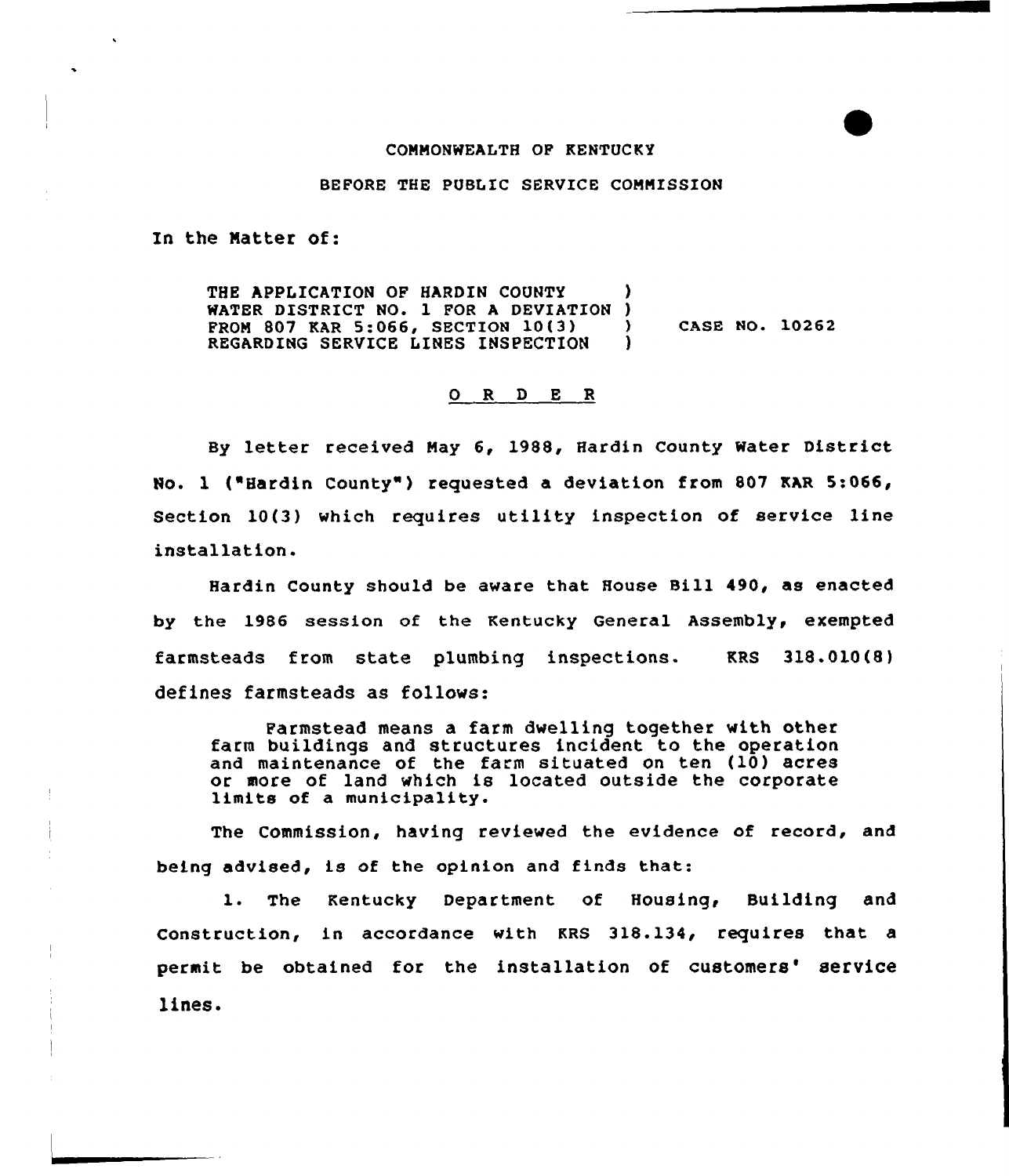## COMMONWEALTH OP KENTUCKY

## BEFORE THE PUBLIC SERVICE COMMISSION

In the Matter of:

THE APPLICATION OF HARDIN COUNTY WATER DISTRICT NO. 1 FOR A DEVIATION )<br>FROM 807 KAR 5:066, SECTION 10(3) PROM 807 KAR 5:066, SECTION 10(3) ) CASE NO. 10262<br>REGARDING SERVICE LINES INSPECTION ) REGARDING SERVICE LINES INSPECTION

## 0 R <sup>D</sup> E R

By letter received May 6, 1988, Hardin County Water District No. 1 ("Hardin County" ) requested a deviation from 807 KAR 5:066, Section 10(3) which requires utility inspection of service line installation.

Hardin County should be aware that House Bill 490, as enacted by the 1986 session of the Kentucky General Assembly, exempted farmsteads from state plumbing inspections. KRS 318.010(8) defines farmsteads as follows:

Parmstead means a farm dwelling together with other farm buildings and structures incident to the operation and maintenance of the farm situated on ten (10) acres or more of land which is located outside the corporate limits of a municipality.

The Commission, having reviewed the evidence of record, and being advised, is of the opinion and finds that:

1. The Kentucky Department of Housing, Building and Construction, in accordance with KRS 318.134, requires that a permit be obtained for the installation of customers' service lines.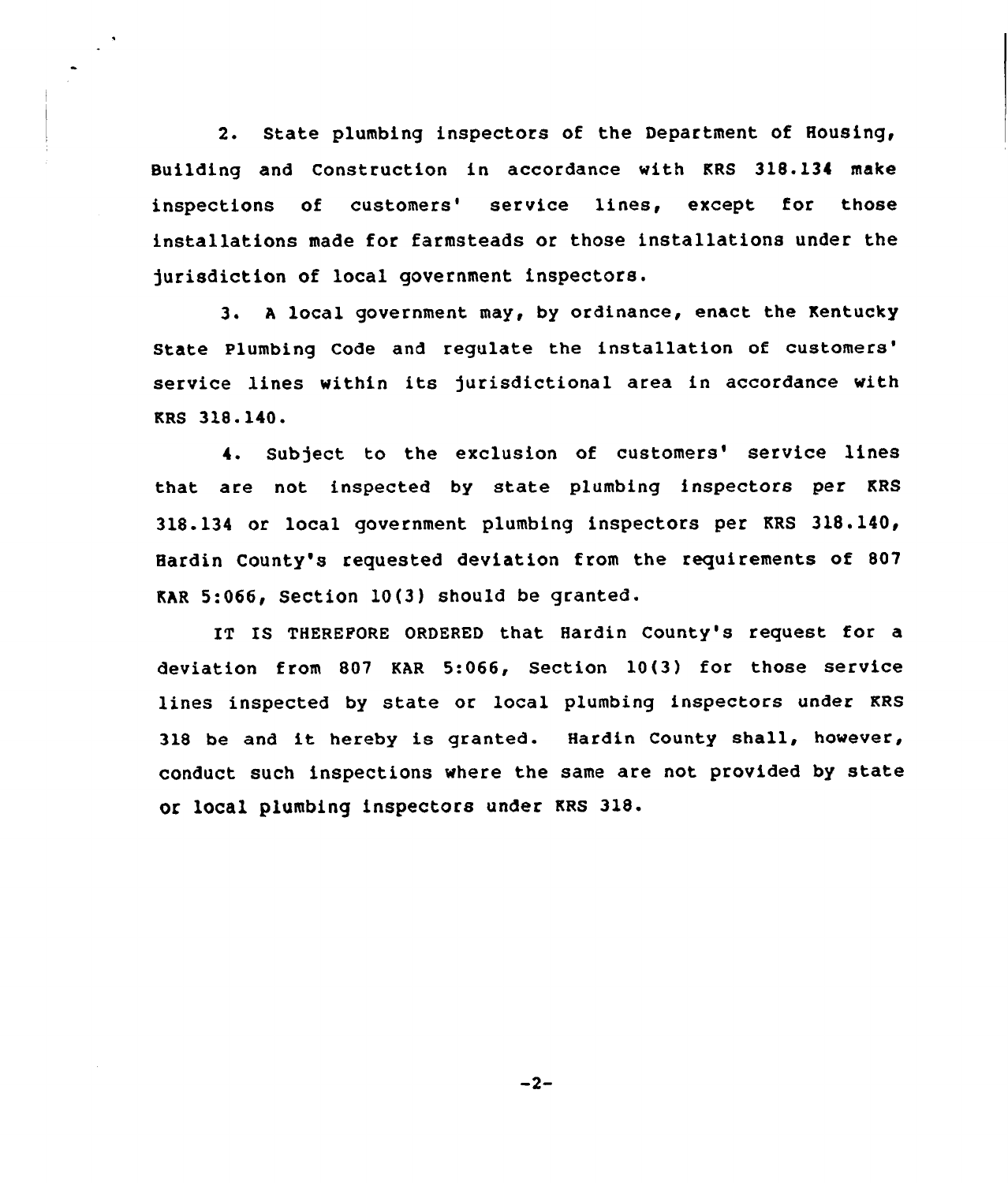2. State plumbing inspectors of the Department of Housing, Building and Construction in accordance with KRS 318.134 make inspections of customers' service lines, except for those installations made for farmsteads or those installations under the jurisdiction of local government inspectors.

 $\bullet$ 

3. <sup>A</sup> local government may, by ordinance, enact the Kentucky State Plumbing Code and regulate the installation of service lines within its jurisdictional area in accordance with KRS 318.140.

4. Subject to the exclusion of customers' service lines that are not inspected by state plumbing inspectors per KRS 318.134 or local government plumbing inspectors per KRS 318.140, Hardin County's requested deviation from the requirements of 807 KhR 5:066, Section 10(3) should be granted.

IT IS THEREPORE ORDERED that Hardin County's request for a deviation from 807 KAR 5:066, Section 10(3) for those service lines inspected by state or local plumbing inspectors under KRS <sup>318</sup> be and it hereby is granted. Hardin County shall, however, conduct such inspections where the same are not provided by state or local plumbing inspectors under KRS 318.

 $-2-$